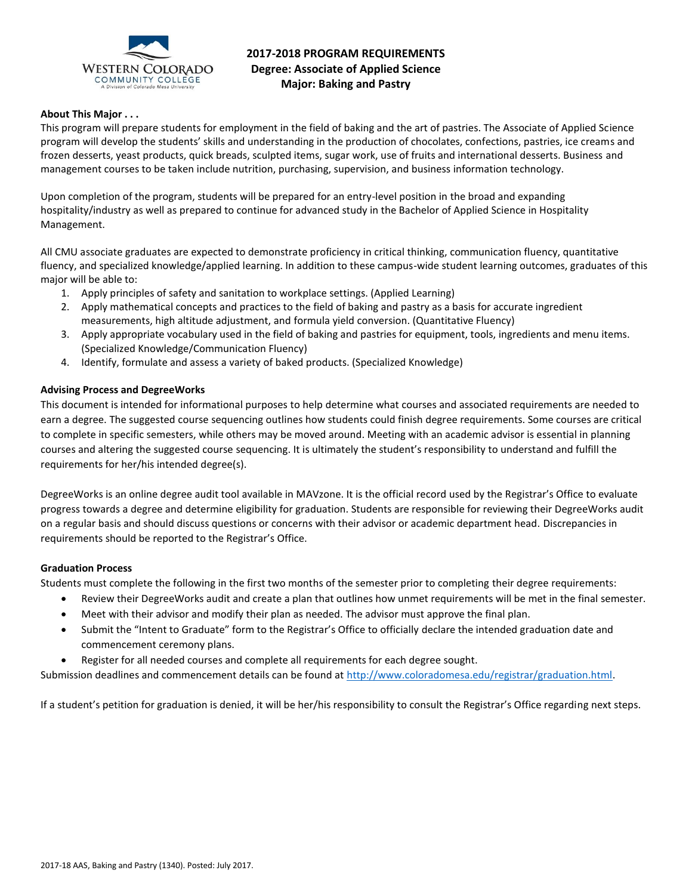

# **2017-2018 PROGRAM REQUIREMENTS Degree: Associate of Applied Science Major: Baking and Pastry**

### **About This Major . . .**

This program will prepare students for employment in the field of baking and the art of pastries. The Associate of Applied Science program will develop the students' skills and understanding in the production of chocolates, confections, pastries, ice creams and frozen desserts, yeast products, quick breads, sculpted items, sugar work, use of fruits and international desserts. Business and management courses to be taken include nutrition, purchasing, supervision, and business information technology.

Upon completion of the program, students will be prepared for an entry-level position in the broad and expanding hospitality/industry as well as prepared to continue for advanced study in the Bachelor of Applied Science in Hospitality Management.

All CMU associate graduates are expected to demonstrate proficiency in critical thinking, communication fluency, quantitative fluency, and specialized knowledge/applied learning. In addition to these campus-wide student learning outcomes, graduates of this major will be able to:

- 1. Apply principles of safety and sanitation to workplace settings. (Applied Learning)
- 2. Apply mathematical concepts and practices to the field of baking and pastry as a basis for accurate ingredient measurements, high altitude adjustment, and formula yield conversion. (Quantitative Fluency)
- 3. Apply appropriate vocabulary used in the field of baking and pastries for equipment, tools, ingredients and menu items. (Specialized Knowledge/Communication Fluency)
- 4. Identify, formulate and assess a variety of baked products. (Specialized Knowledge)

# **Advising Process and DegreeWorks**

This document is intended for informational purposes to help determine what courses and associated requirements are needed to earn a degree. The suggested course sequencing outlines how students could finish degree requirements. Some courses are critical to complete in specific semesters, while others may be moved around. Meeting with an academic advisor is essential in planning courses and altering the suggested course sequencing. It is ultimately the student's responsibility to understand and fulfill the requirements for her/his intended degree(s).

DegreeWorks is an online degree audit tool available in MAVzone. It is the official record used by the Registrar's Office to evaluate progress towards a degree and determine eligibility for graduation. Students are responsible for reviewing their DegreeWorks audit on a regular basis and should discuss questions or concerns with their advisor or academic department head. Discrepancies in requirements should be reported to the Registrar's Office.

#### **Graduation Process**

Students must complete the following in the first two months of the semester prior to completing their degree requirements:

- Review their DegreeWorks audit and create a plan that outlines how unmet requirements will be met in the final semester.
- Meet with their advisor and modify their plan as needed. The advisor must approve the final plan.
- Submit the "Intent to Graduate" form to the Registrar's Office to officially declare the intended graduation date and commencement ceremony plans.
- Register for all needed courses and complete all requirements for each degree sought.

Submission deadlines and commencement details can be found at [http://www.coloradomesa.edu/registrar/graduation.html.](http://www.coloradomesa.edu/registrar/graduation.html)

If a student's petition for graduation is denied, it will be her/his responsibility to consult the Registrar's Office regarding next steps.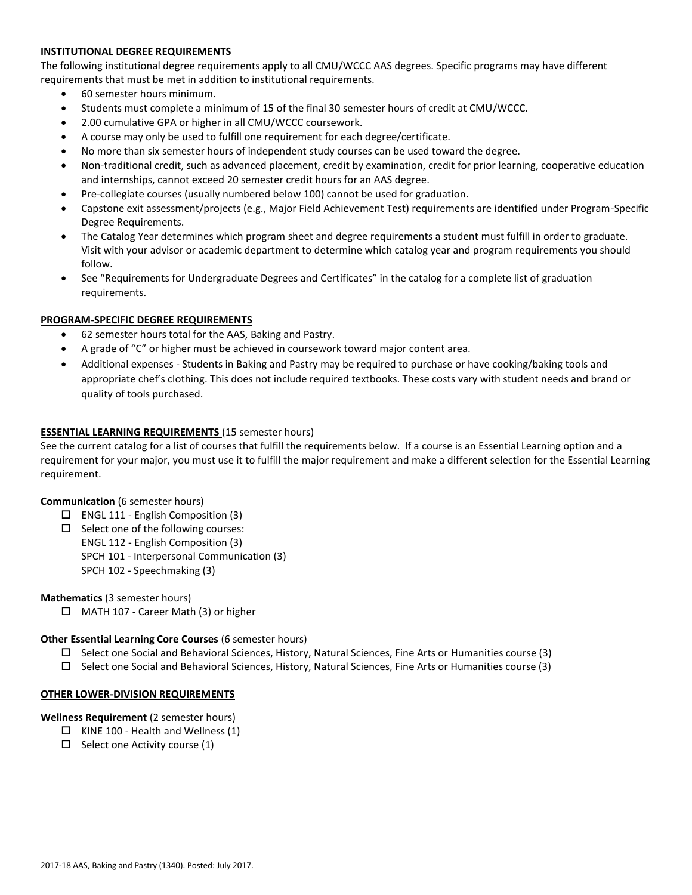# **INSTITUTIONAL DEGREE REQUIREMENTS**

The following institutional degree requirements apply to all CMU/WCCC AAS degrees. Specific programs may have different requirements that must be met in addition to institutional requirements.

- 60 semester hours minimum.
- Students must complete a minimum of 15 of the final 30 semester hours of credit at CMU/WCCC.
- 2.00 cumulative GPA or higher in all CMU/WCCC coursework.
- A course may only be used to fulfill one requirement for each degree/certificate.
- No more than six semester hours of independent study courses can be used toward the degree.
- Non-traditional credit, such as advanced placement, credit by examination, credit for prior learning, cooperative education and internships, cannot exceed 20 semester credit hours for an AAS degree.
- Pre-collegiate courses (usually numbered below 100) cannot be used for graduation.
- Capstone exit assessment/projects (e.g., Major Field Achievement Test) requirements are identified under Program-Specific Degree Requirements.
- The Catalog Year determines which program sheet and degree requirements a student must fulfill in order to graduate. Visit with your advisor or academic department to determine which catalog year and program requirements you should follow.
- See "Requirements for Undergraduate Degrees and Certificates" in the catalog for a complete list of graduation requirements.

# **PROGRAM-SPECIFIC DEGREE REQUIREMENTS**

- 62 semester hours total for the AAS, Baking and Pastry.
- A grade of "C" or higher must be achieved in coursework toward major content area.
- Additional expenses Students in Baking and Pastry may be required to purchase or have cooking/baking tools and appropriate chef's clothing. This does not include required textbooks. These costs vary with student needs and brand or quality of tools purchased.

### **ESSENTIAL LEARNING REQUIREMENTS** (15 semester hours)

See the current catalog for a list of courses that fulfill the requirements below. If a course is an Essential Learning option and a requirement for your major, you must use it to fulfill the major requirement and make a different selection for the Essential Learning requirement.

#### **Communication** (6 semester hours)

- $\square$  ENGL 111 English Composition (3)
- $\square$  Select one of the following courses: ENGL 112 - English Composition (3) SPCH 101 - Interpersonal Communication (3) SPCH 102 - Speechmaking (3)

**Mathematics** (3 semester hours)

□ MATH 107 - Career Math (3) or higher

#### **Other Essential Learning Core Courses** (6 semester hours)

- $\square$  Select one Social and Behavioral Sciences, History, Natural Sciences, Fine Arts or Humanities course (3)
- $\square$  Select one Social and Behavioral Sciences, History, Natural Sciences, Fine Arts or Humanities course (3)

#### **OTHER LOWER-DIVISION REQUIREMENTS**

#### **Wellness Requirement** (2 semester hours)

- $\Box$  KINE 100 Health and Wellness (1)
- $\Box$  Select one Activity course (1)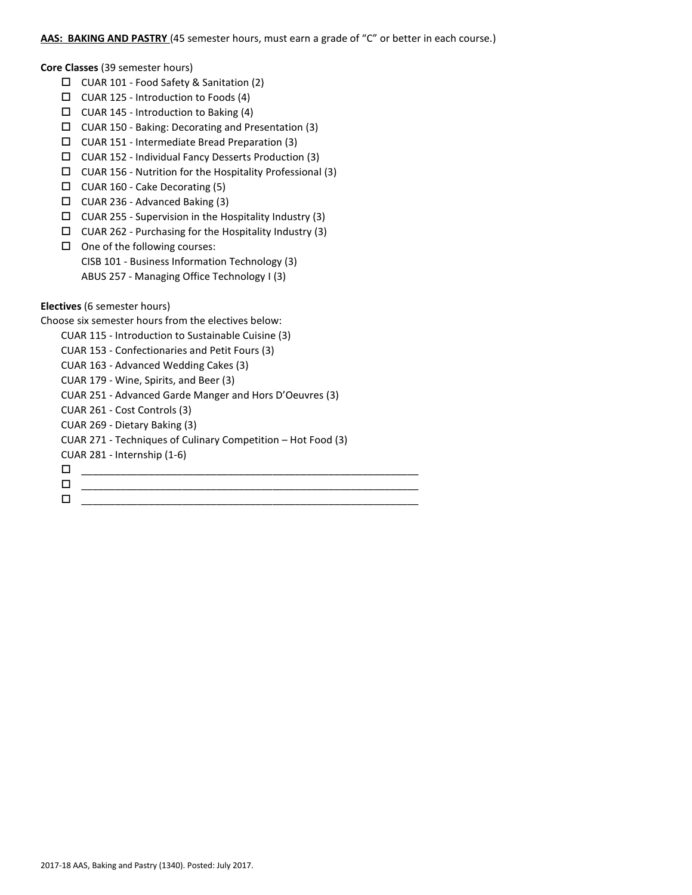### AAS: BAKING AND PASTRY (45 semester hours, must earn a grade of "C" or better in each course.)

**Core Classes** (39 semester hours)

- CUAR 101 Food Safety & Sanitation (2)
- $\Box$  CUAR 125 Introduction to Foods (4)
- $\Box$  CUAR 145 Introduction to Baking (4)
- $\Box$  CUAR 150 Baking: Decorating and Presentation (3)
- CUAR 151 Intermediate Bread Preparation (3)
- CUAR 152 Individual Fancy Desserts Production (3)
- $\Box$  CUAR 156 Nutrition for the Hospitality Professional (3)
- CUAR 160 Cake Decorating (5)
- CUAR 236 Advanced Baking (3)
- $\Box$  CUAR 255 Supervision in the Hospitality Industry (3)
- $\Box$  CUAR 262 Purchasing for the Hospitality Industry (3)
- $\Box$  One of the following courses: CISB 101 - Business Information Technology (3) ABUS 257 - Managing Office Technology I (3)

**Electives** (6 semester hours)

Choose six semester hours from the electives below:

CUAR 115 - Introduction to Sustainable Cuisine (3)

- CUAR 153 Confectionaries and Petit Fours (3)
- CUAR 163 Advanced Wedding Cakes (3)

CUAR 179 - Wine, Spirits, and Beer (3)

CUAR 251 - Advanced Garde Manger and Hors D'Oeuvres (3)

CUAR 261 - Cost Controls (3)

CUAR 269 - Dietary Baking (3)

CUAR 271 - Techniques of Culinary Competition – Hot Food (3)

CUAR 281 - Internship (1-6)

\_\_\_\_\_\_\_\_\_\_\_\_\_\_\_\_\_\_\_\_\_\_\_\_\_\_\_\_\_\_\_\_\_\_\_\_\_\_\_\_\_\_\_\_\_\_\_\_\_\_\_\_\_\_\_\_\_\_\_\_

 \_\_\_\_\_\_\_\_\_\_\_\_\_\_\_\_\_\_\_\_\_\_\_\_\_\_\_\_\_\_\_\_\_\_\_\_\_\_\_\_\_\_\_\_\_\_\_\_\_\_\_\_\_\_\_\_\_\_\_\_ \_\_\_\_\_\_\_\_\_\_\_\_\_\_\_\_\_\_\_\_\_\_\_\_\_\_\_\_\_\_\_\_\_\_\_\_\_\_\_\_\_\_\_\_\_\_\_\_\_\_\_\_\_\_\_\_\_\_\_\_

2017-18 AAS, Baking and Pastry (1340). Posted: July 2017.